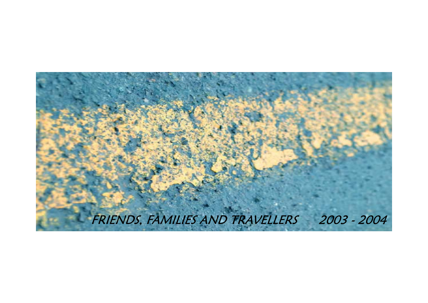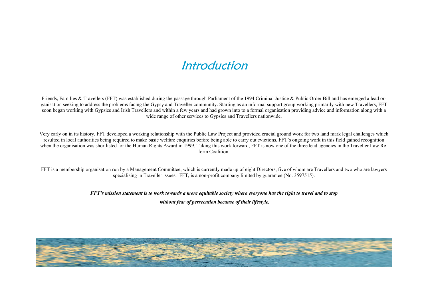### Introduction

Friends, Families & Travellers (FFT) was established during the passage through Parliament of the 1994 Criminal Justice & Public Order Bill and has emerged a lead organisation seeking to address the problems facing the Gypsy and Traveller community. Starting as an informal support group working primarily with new Travellers, FFT soon began working with Gypsies and Irish Travellers and within a few years and had grown into to a formal organisation providing advice and information along with a wide range of other services to Gypsies and Travellers nationwide.

Very early on in its history, FFT developed a working relationship with the Public Law Project and provided crucial ground work for two land mark legal challenges which resulted in local authorities being required to make basic welfare enquiries before being able to carry out evictions. FFT's ongoing work in this field gained recognition when the organisation was shortlisted for the Human Rights Award in 1999. Taking this work forward, FFT is now one of the three lead agencies in the Traveller Law Reform Coalition.

FFT is a membership organisation run by a Management Committee, which is currently made up of eight Directors, five of whom are Travellers and two who are lawyers specialising in Traveller issues. FFT, is a non-profit company limited by guarantee (No. 3597515).

*FFT's mission statement is to work towards a more equitable society where everyone has the right to travel and to stop* 

 *without fear of persecution because of their lifestyle.* 

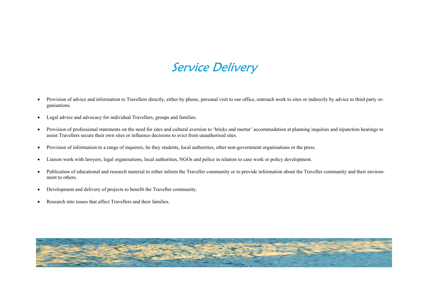## Service Delivery

- Provision of advice and information to Travellers directly, either by phone, personal visit to our office, outreach work to sites or indirectly by advice to third party organisations.
- Legal advice and advocacy for individual Travellers, groups and families.
- Provision of professional statements on the need for sites and cultural aversion to 'bricks and mortar' accommodation at planning inquiries and injunction hearings to assist Travellers secure their own sites or influence decisions to evict from unauthorised sites.
- Provision of information to a range of inquirers, be they students, local authorities, other non-government organisations or the press.
- Liaison work with lawyers, legal organisations, local authorities, NGOs and police in relation to case work or policy development.
- Publication of educational and research material to either inform the Traveller community or to provide information about the Traveller community and their environment to others.
- Development and delivery of projects to benefit the Traveller community.
- Research into issues that affect Travellers and their families.

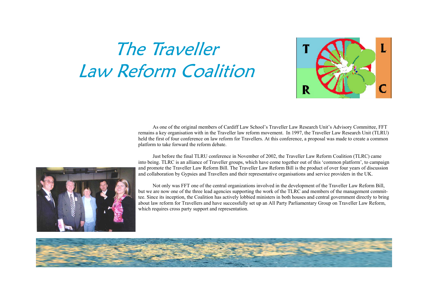# The Traveller Law Reform Coalition



As one of the original members of Cardiff Law School's Traveller Law Research Unit's Advisory Committee, FFT remains a key organisation with in the Traveller law reform movement. In 1997, the Traveller Law Research Unit (TLRU) held the first of four conference on law reform for Travellers. At this conference, a proposal was made to create a common platform to take forward the reform debate.

Just before the final TLRU conference in November of 2002, the Traveller Law Reform Coalition (TLRC) came into being. TLRC is an alliance of Traveller groups, which have come together out of this 'common platform', to campaign and promote the Traveller Law Reform Bill. The Traveller Law Reform Bill is the product of over four years of discussion and collaboration by Gypsies and Travellers and their representative organisations and service providers in the UK.

 Not only was FFT one of the central organizations involved in the development of the Traveller Law Reform Bill, but we are now one of the three lead agencies supporting the work of the TLRC and members of the management committee. Since its inception, the Coalition has actively lobbied ministers in both houses and central government directly to bring about law reform for Travellers and have successfully set up an All Party Parliamentary Group on Traveller Law Reform, which requires cross party support and representation.



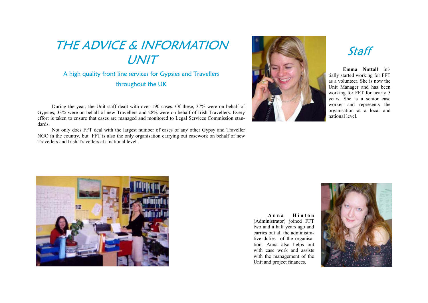## THE ADVICE & INFORMATION UNIT

### A high quality front line services for Gypsies and Travellers throughout the UK

During the year, the Unit staff dealt with over 190 cases. Of these, 37% were on behalf of Gypsies, 33% were on behalf of new Travellers and 28% were on behalf of Irish Travellers. Every effort is taken to ensure that cases are managed and monitored to Legal Services Commission standards.

 Not only does FFT deal with the largest number of cases of any other Gypsy and Traveller NGO in the country, but FFT is also the only organisation carrying out casework on behalf of new Travellers and Irish Travellers at a national level.



### Staff

**Emma Nuttall** initially started working for FFT as a volunteer. She is now the Unit Manager and has been working for FFT for nearly 5 years. She is a senior case worker and represents the organisation at a local and national level.



 $A$ **nna Hinton** (Administrator) joined FFT two and a half years ago and carries out all the administrative duties of the organisation. Anna also helps out with case work and assists with the management of the Unit and project finances.

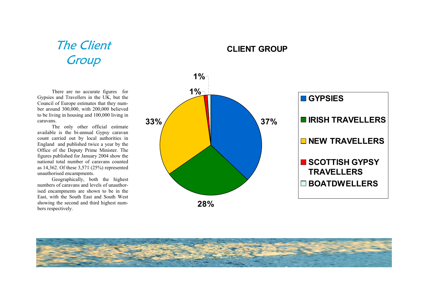## The Client **Group**

There are no accurate figures for Gypsies and Travellers in the UK, but the Council of Europe estimates that they number around 300,000, with 200,000 believed to be living in housing and 100,000 living in caravans.

 The only other official estimate available is the bi-annual Gypsy caravan count carried out by local authorities in England and published twice a year by the Office of the Deputy Prime Minister. The figures published for January 2004 show the national total number of caravans counted as 14,362. Of these 3,571 (25%) represented unauthorised encampments.

 Geographically, both the highest numbers of caravans and levels of unauthorised encampments are shown to be in the East, with the South East and South West showing the second and third highest numbers respectively.





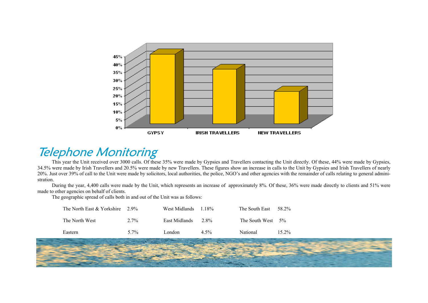

### Telephone Monitoring

This year the Unit received over 3000 calls. Of these 35% were made by Gypsies and Travellers contacting the Unit directly. Of these, 44% were made by Gypsies, 34.5% were made by Irish Travellers and 20.5% were made by new Travellers. These figures show an increase in calls to the Unit by Gypsies and Irish Travellers of nearly 20%. Just over 39% of call to the Unit were made by solicitors, local authorities, the police, NGO's and other agencies with the remainder of calls relating to general administration.

 During the year, 4,400 calls were made by the Unit, which represents an increase of approximately 8%. Of these, 36% were made directly to clients and 51% were made to other agencies on behalf of clients.

The geographic spread of calls both in and out of the Unit was as follows:

| The North East $&$ Yorkshire 2.9% |         | West Midlands | 1 1 8\% | The South East       | 58 2%    |
|-----------------------------------|---------|---------------|---------|----------------------|----------|
| The North West                    | $2.7\%$ | East Midlands | 2.8%    | The South West $5\%$ |          |
| Eastern                           | $5.7\%$ | London.       | $4.5\%$ | National             | $15.2\%$ |

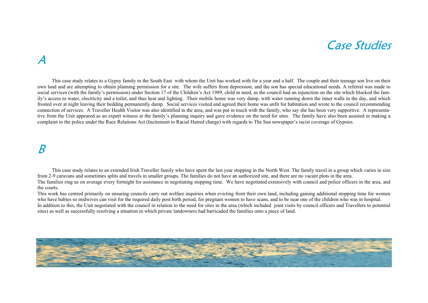### Case Studies

### A

 This case study relates to a Gypsy family in the South East with whom the Unit has worked with for a year and a half. The couple and their teenage son live on their own land and are attempting to obtain planning permission for a site. The wife suffers from depression, and the son has special educational needs. A referral was made to social services (with the family's permission) under Section 17 of the Children's Act 1989, child in need, as the council had an injunction on the site which blocked the family's access to water, electricity and a toilet, and thus heat and lighting. Their mobile home was very damp, with water running down the inner walls in the day, and which frosted over at night leaving their bedding permanently damp. Social services visited and agreed their home was unfit for habitation and wrote to the council recommending connection of services. A Traveller Health Visitor was also identified in the area, and was put in touch with the family, who say she has been very supportive. A representative from the Unit appeared as an expert witness at the family's planning inquiry and gave evidence on the need for sites. The family have also been assisted in making a complaint to the police under the Race Relations Act (Incitement to Racial Hatred charge) with regards to The Sun newspaper's racist coverage of Gypsies.

### B

 This case study relates to an extended Irish Traveller family who have spent the last year stopping in the North West. The family travel in a group which varies in size from 2-9 caravans and sometimes splits and travels in smaller groups. The families do not have an authorized site, and there are no vacant plots in the area. The families ring us on average every fortnight for assistance in negotiating stopping time. We have negotiated extensively with council and police officers in the area, and the courts.

This work has centred primarily on ensuring councils carry out welfare inquiries when evicting from their own land, including gaining additional stopping time for women who have babies so midwives can visit for the required daily post birth period, for pregnant women to have scans, and to be near one of the children who was in hospital. In addition to this, the Unit negotiated with the council in relation to the need for sites in the area (which included joint visits by council officers and Travellers to potential sites) as well as successfully resolving a situation in which private landowners had barricaded the families onto a piece of land.

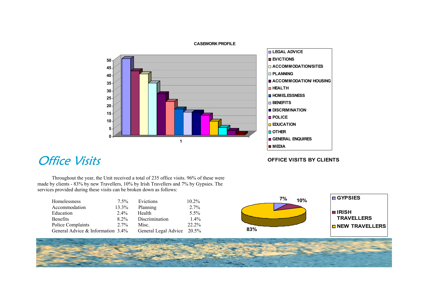

### **LEGAL ADVICE EVICTIONSACCOMMODATION/SITESPLANNINGACCOMMODATION/ HOUSING HEALTHHOMELESSNESS BENEFITSDISCRIMINATION POLICE EDUCATION OTHERGENERAL ENQUIRES MEDIA**

**OFFICE VISITS BY CLIENTS**

### **Office Visits**

Throughout the year, the Unit received a total of 235 office visits. 96% of these were made by clients - 83% by new Travellers, 10% by Irish Travellers and 7% by Gypsies. The services provided during these visits can be broken down as follows:

| Homelessness                         | $7.5\%$ | Evictions            | $10.2\%$ |
|--------------------------------------|---------|----------------------|----------|
| Accommodation                        | 13.3%   | Planning             | $2.7\%$  |
| Education                            | $2.4\%$ | Health               | $5.5\%$  |
| <b>Benefits</b>                      | $8.2\%$ | Discrimination       | $1.4\%$  |
| Police Complaints                    | $2.7\%$ | Misc.                | $22.2\%$ |
| General Advice & Information $3.4\%$ |         | General Legal Advice | 20.5%    |





#### **CASEWORK PROFILE**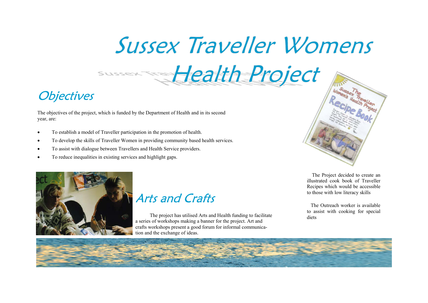# **Sussex Traveller Womens**

## **Objectives**

The objectives of the project, which is funded by the Department of Health and in its second year, are:

- To establish a model of Traveller participation in the promotion of health.
- To develop the skills of Traveller Women in providing community based health services.
- To assist with dialogue between Travellers and Health Service providers.
- To reduce inequalities in existing services and highlight gaps.



### Arts and Crafts

 The project has utilised Arts and Health funding to facilitate a series of workshops making a banner for the project. Art and crafts workshops present a good forum for informal communication and the exchange of ideas.



 The Project decided to create an illustrated cook book of Traveller Recipes which would be accessible to those with low literacy skills

 The Outreach worker is available to assist with cooking for special diets

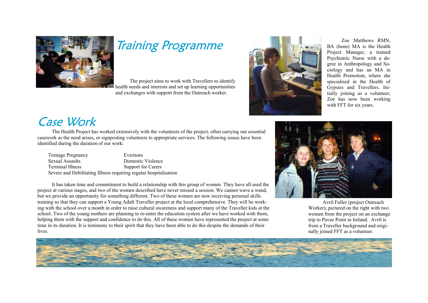

## Training Programme

 The project aims to work with Travellers to identify health needs and interests and set up learning opportunities and exchanges with support from the Outreach worker.



 Zoe Matthews RMN, BA (hons) MA is the Health Project Manager, a trained Psychiatric Nurse with a degree in Anthropology and Sociology and has an MA in Health Promotion, where she specialised in the Health of Gypsies and Travellers. Initially joining as a volunteer, Zoe has now been working with FFT for six years.

### Case Work

 The Health Project has worked extensively with the volunteers of the project, often carrying out essential casework as the need arises, or signposting volunteers to appropriate services. The following issues have been identified during the duration of our work:

| <b>Teenage Pregnancy</b>                                          | Evictions          |
|-------------------------------------------------------------------|--------------------|
| Sexual Assaults                                                   | Domestic Violence  |
| <b>Terminal Illness</b>                                           | Support for Carers |
| Severe and Debilitating Illness requiring regular hospitalisation |                    |

 It has taken time and commitment to build a relationship with this group of women. They have all used the project at various stages, and two of the women described have never missed a session. We cannot wave a wand, but we provide an opportunity for something different. Two of these women are now receiving personal skills training so that they can support a Young Adult Traveller project at the local comprehensive. They will be working with the school over a month in order to raise cultural awareness and support many of the Traveller kids at the school. Two of the young mothers are planning to re-enter the education system after we have worked with them, helping them with the support and confidence to do this. All of these women have represented the project at some time in its duration. It is testimony to their spirit that they have been able to do this despite the demands of their lives.



 Avril Fuller (project Outreach Worker), pictured on the right with two women from the project on an exchange trip to Pavee Point in Ireland. Avril is from a Traveller background and originally joined FFT as a volunteer.

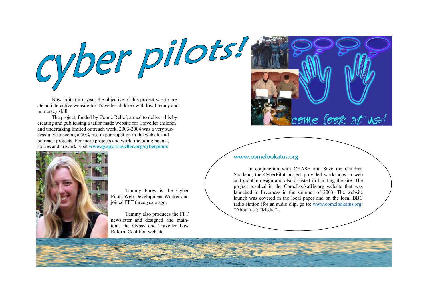

 Now in its third year, the objective of this project was to create an interactive website for Traveller children with low literacy and numeracy skill.

 The project, funded by Comic Relief, aimed to deliver this by creating and publicising a tailor made website for Traveller children and undertaking limited outreach work. 2003-2004 was a very successful year seeing a 50% rise in participation in the website and outreach projects. For more projects and work, including poems, stories and artwork, visit **www.gyspy-traveller.org/cyberpilots**



 Tammy Furey is the Cyber Pilots Web Development Worker and joined FFT three years ago.

 Tammy also produces the FFT newsletter and designed and maintains the Gypsy and Traveller Law Reform Coalition website.



#### www.comelookatus.org

 In conjunction with CHASE and Save the Children Scotland, the CyberPilot project provided workshops in web and graphic design and also assisted in building the site. The project resulted in the ComeLookatUs.org website that was launched in Inverness in the summer of 2003. The website launch was covered in the local paper and on the local BBC radio station (for an audio clip, go to: www.comelookatus.org; "About us"; "Media").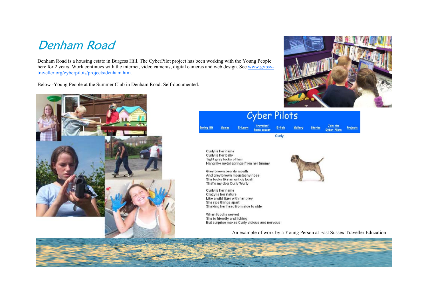### Denham Road

Denham Road is a housing estate in Burgess Hill. The CyberPilot project has been working with the Young People here for 2 years. Work continues with the internet, video cameras, digital cameras and web design. See www.gypsytraveller.org/cyberpilots/projects/denham.htm.

Below -Young People at the Summer Club in Denham Road: Self-documented.







Curly is her name Curly is her belly Tight grey locks of hair Hang like metal springs from her tummy

Grey brown beardy mouth And grey brown moustachy nose She looks like an untidy bush That's my dog Curly Wurly

Curly is her name Crazy is her nature Like a wild tiger with her prey She rips things apart Shaking her head from side to side

When food is served She is friendly and licking But surprise makes Curly vicious and nervous

An example of work by a Young Person at East Sussex Traveller Education

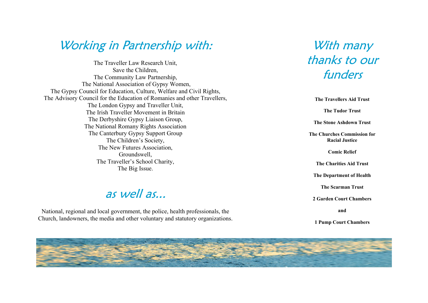### Working in Partnership with:

The Traveller Law Research Unit, Save the Children, The Community Law Partnership, The National Association of Gypsy Women, The Gypsy Council for Education, Culture, Welfare and Civil Rights, The Advisory Council for the Education of Romanies and other Travellers, The London Gypsy and Traveller Unit, The Irish Traveller Movement in Britain The Derbyshire Gypsy Liaison Group, The National Romany Rights Association The Canterbury Gypsy Support Group The Children's Society, The New Futures Association, Groundswell, The Traveller's School Charity, The Big Issue.

### as well as...

National, regional and local government, the police, health professionals, the Church, landowners, the media and other voluntary and statutory organizations.

### With many thanks to our funders

**The Travellers Aid Trust The Tudor Trust The Stone Ashdown Trust The Churches Commission for Racial Justice Comic Relief The Charities Aid Trust The Department of Health The Scarman Trust 2 Garden Court Chambers and** 

**1 Pump Court Chambers** 

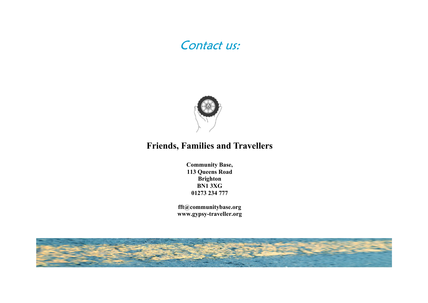### Contact us:



### **Friends, Families and Travellers**

**Community Base, 113 Queens Road Brighton BN1 3XG 01273 234 777** 

**fft@communitybase.org www.gypsy-traveller.org**